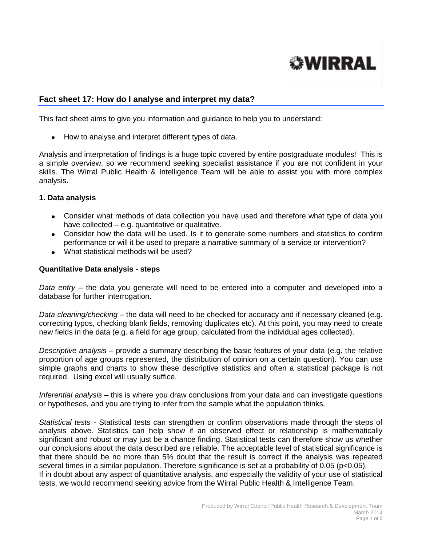

# **Fact sheet 17: How do I analyse and interpret my data?**

This fact sheet aims to give you information and guidance to help you to understand:

• How to analyse and interpret different types of data.

Analysis and interpretation of findings is a huge topic covered by entire postgraduate modules! This is a simple overview, so we recommend seeking specialist assistance if you are not confident in your skills. The Wirral Public Health & Intelligence Team will be able to assist you with more complex analysis.

#### **1. Data analysis**

- Consider what methods of data collection you have used and therefore what type of data you have collected – e.g. quantitative or qualitative.
- Consider how the data will be used. Is it to generate some numbers and statistics to confirm performance or will it be used to prepare a narrative summary of a service or intervention?
- What statistical methods will be used?

### **Quantitative Data analysis - steps**

*Data entry* – the data you generate will need to be entered into a computer and developed into a database for further interrogation.

*Data cleaning/checking* – the data will need to be checked for accuracy and if necessary cleaned (e.g. correcting typos, checking blank fields, removing duplicates etc). At this point, you may need to create new fields in the data (e.g. a field for age group, calculated from the individual ages collected).

*Descriptive analysis* – provide a summary describing the basic features of your data (e.g. the relative proportion of age groups represented, the distribution of opinion on a certain question). You can use simple graphs and charts to show these descriptive statistics and often a statistical package is not required. Using excel will usually suffice.

*Inferential analysis* – this is where you draw conclusions from your data and can investigate questions or hypotheses, and you are trying to infer from the sample what the population thinks.

*Statistical tests* - Statistical tests can strengthen or confirm observations made through the steps of analysis above. Statistics can help show if an observed effect or relationship is mathematically significant and robust or may just be a chance finding. Statistical tests can therefore show us whether our conclusions about the data described are reliable. The acceptable level of statistical significance is that there should be no more than 5% doubt that the result is correct if the analysis was repeated several times in a similar population. Therefore significance is set at a probability of 0.05 (p<0.05). If in doubt about any aspect of quantitative analysis, and especially the validity of your use of statistical tests, we would recommend seeking advice from the Wirral Public Health & Intelligence Team.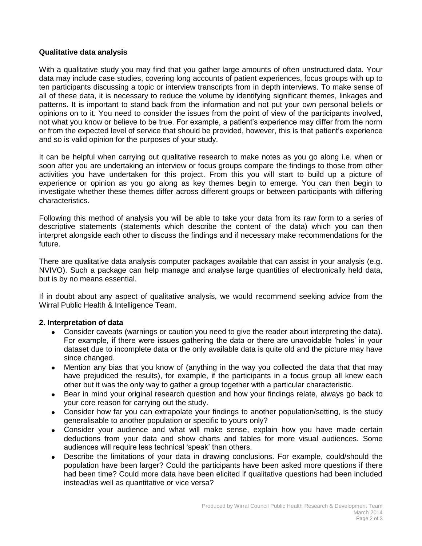## **Qualitative data analysis**

With a qualitative study you may find that you gather large amounts of often unstructured data. Your data may include case studies, covering long accounts of patient experiences, focus groups with up to ten participants discussing a topic or interview transcripts from in depth interviews. To make sense of all of these data, it is necessary to reduce the volume by identifying significant themes, linkages and patterns. It is important to stand back from the information and not put your own personal beliefs or opinions on to it. You need to consider the issues from the point of view of the participants involved, not what you know or believe to be true. For example, a patient's experience may differ from the norm or from the expected level of service that should be provided, however, this is that patient's experience and so is valid opinion for the purposes of your study.

It can be helpful when carrying out qualitative research to make notes as you go along i.e. when or soon after you are undertaking an interview or focus groups compare the findings to those from other activities you have undertaken for this project. From this you will start to build up a picture of experience or opinion as you go along as key themes begin to emerge. You can then begin to investigate whether these themes differ across different groups or between participants with differing characteristics.

Following this method of analysis you will be able to take your data from its raw form to a series of descriptive statements (statements which describe the content of the data) which you can then interpret alongside each other to discuss the findings and if necessary make recommendations for the future.

There are qualitative data analysis computer packages available that can assist in your analysis (e.g. NVIVO). Such a package can help manage and analyse large quantities of electronically held data, but is by no means essential.

If in doubt about any aspect of qualitative analysis, we would recommend seeking advice from the Wirral Public Health & Intelligence Team.

## **2. Interpretation of data**

- Consider caveats (warnings or caution you need to give the reader about interpreting the data). For example, if there were issues gathering the data or there are unavoidable 'holes' in your dataset due to incomplete data or the only available data is quite old and the picture may have since changed.
- Mention any bias that you know of (anything in the way you collected the data that that may have prejudiced the results), for example, if the participants in a focus group all knew each other but it was the only way to gather a group together with a particular characteristic.
- Bear in mind your original research question and how your findings relate, always go back to your core reason for carrying out the study.
- Consider how far you can extrapolate your findings to another population/setting, is the study generalisable to another population or specific to yours only?
- Consider your audience and what will make sense, explain how you have made certain deductions from your data and show charts and tables for more visual audiences. Some audiences will require less technical 'speak' than others.
- Describe the limitations of your data in drawing conclusions. For example, could/should the population have been larger? Could the participants have been asked more questions if there had been time? Could more data have been elicited if qualitative questions had been included instead/as well as quantitative or vice versa?